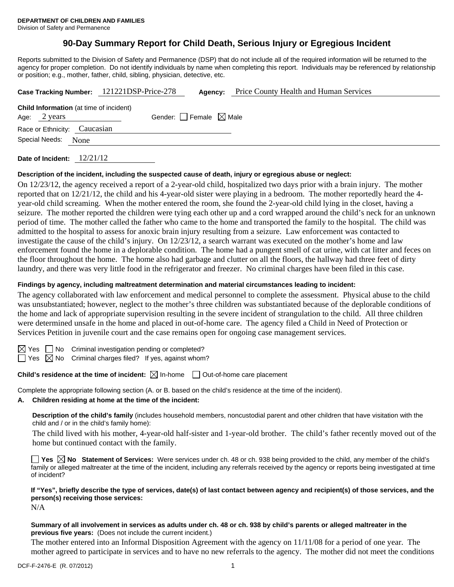# **90-Day Summary Report for Child Death, Serious Injury or Egregious Incident**

Reports submitted to the Division of Safety and Permanence (DSP) that do not include all of the required information will be returned to the agency for proper completion. Do not identify individuals by name when completing this report. Individuals may be referenced by relationship or position; e.g., mother, father, child, sibling, physician, detective, etc.

|                                                                          | Case Tracking Number: 121221DSP-Price-278 | Agency:                         | Price County Health and Human Services |
|--------------------------------------------------------------------------|-------------------------------------------|---------------------------------|----------------------------------------|
| <b>Child Information</b> (at time of incident)<br>Age: $2 \text{ years}$ |                                           | Gender: Female $\boxtimes$ Male |                                        |
| Race or Ethnicity: Caucasian<br>Special Needs: None                      |                                           |                                 |                                        |
|                                                                          |                                           |                                 |                                        |

**Date of Incident:** 12/21/12

#### **Description of the incident, including the suspected cause of death, injury or egregious abuse or neglect:**

On 12/23/12, the agency received a report of a 2-year-old child, hospitalized two days prior with a brain injury. The mother reported that on 12/21/12, the child and his 4-year-old sister were playing in a bedroom. The mother reportedly heard the 4 year-old child screaming. When the mother entered the room, she found the 2-year-old child lying in the closet, having a seizure. The mother reported the children were tying each other up and a cord wrapped around the child's neck for an unknown period of time. The mother called the father who came to the home and transported the family to the hospital. The child was admitted to the hospital to assess for anoxic brain injury resulting from a seizure. Law enforcement was contacted to investigate the cause of the child's injury. On 12/23/12, a search warrant was executed on the mother's home and law enforcement found the home in a deplorable condition. The home had a pungent smell of cat urine, with cat litter and feces on the floor throughout the home. The home also had garbage and clutter on all the floors, the hallway had three feet of dirty laundry, and there was very little food in the refrigerator and freezer. No criminal charges have been filed in this case.

#### **Findings by agency, including maltreatment determination and material circumstances leading to incident:**

The agency collaborated with law enforcement and medical personnel to complete the assessment. Physical abuse to the child was unsubstantiated; however, neglect to the mother's three children was substantiated because of the deplorable conditions of the home and lack of appropriate supervision resulting in the severe incident of strangulation to the child. All three children were determined unsafe in the home and placed in out-of-home care. The agency filed a Child in Need of Protection or Services Petition in juvenile court and the case remains open for ongoing case management services.

No Criminal investigation pending or completed?

Yes  $\boxtimes$  No Criminal charges filed? If yes, against whom?

**Child's residence at the time of incident:**  $\boxtimes$  In-home  $\Box$  Out-of-home care placement

Complete the appropriate following section (A. or B. based on the child's residence at the time of the incident).

#### **A. Children residing at home at the time of the incident:**

**Description of the child's family** (includes household members, noncustodial parent and other children that have visitation with the child and / or in the child's family home):

 The child lived with his mother, 4-year-old half-sister and 1-year-old brother. The child's father recently moved out of the home but continued contact with the family.

**Yes No Statement of Services:** Were services under ch. 48 or ch. 938 being provided to the child, any member of the child's family or alleged maltreater at the time of the incident, including any referrals received by the agency or reports being investigated at time of incident?

# **If "Yes", briefly describe the type of services, date(s) of last contact between agency and recipient(s) of those services, and the person(s) receiving those services:**

N/A

#### **Summary of all involvement in services as adults under ch. 48 or ch. 938 by child's parents or alleged maltreater in the previous five years:** (Does not include the current incident.)

The mother entered into an Informal Disposition Agreement with the agency on 11/11/08 for a period of one year. The mother agreed to participate in services and to have no new referrals to the agency. The mother did not meet the conditions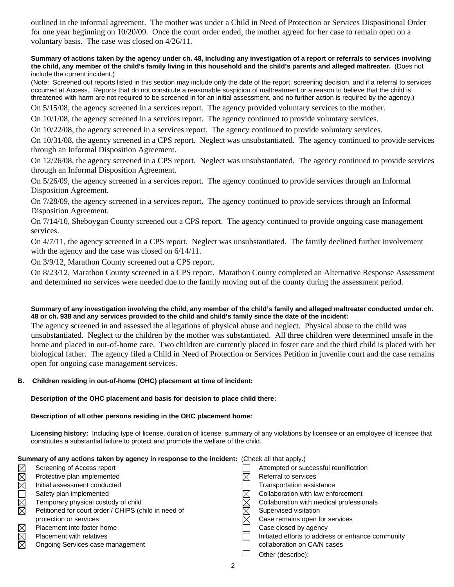outlined in the informal agreement. The mother was under a Child in Need of Protection or Services Dispositional Order for one year beginning on 10/20/09. Once the court order ended, the mother agreed for her case to remain open on a voluntary basis. The case was closed on 4/26/11.

**Summary of actions taken by the agency under ch. 48, including any investigation of a report or referrals to services involving the child, any member of the child's family living in this household and the child's parents and alleged maltreater.** (Does not include the current incident.)

(Note: Screened out reports listed in this section may include only the date of the report, screening decision, and if a referral to services occurred at Access. Reports that do not constitute a reasonable suspicion of maltreatment or a reason to believe that the child is threatened with harm are not required to be screened in for an initial assessment, and no further action is required by the agency.)

On 5/15/08, the agency screened in a services report. The agency provided voluntary services to the mother.

On 10/1/08, the agency screened in a services report. The agency continued to provide voluntary services.

On 10/22/08, the agency screened in a services report. The agency continued to provide voluntary services.

On 10/31/08, the agency screened in a CPS report. Neglect was unsubstantiated. The agency continued to provide services through an Informal Disposition Agreement.

On 12/26/08, the agency screened in a CPS report. Neglect was unsubstantiated. The agency continued to provide services through an Informal Disposition Agreement.

On 5/26/09, the agency screened in a services report. The agency continued to provide services through an Informal Disposition Agreement.

On 7/28/09, the agency screened in a services report. The agency continued to provide services through an Informal Disposition Agreement.

On 7/14/10, Sheboygan County screened out a CPS report. The agency continued to provide ongoing case management services.

On 4/7/11, the agency screened in a CPS report. Neglect was unsubstantiated. The family declined further involvement with the agency and the case was closed on  $6/14/11$ .

On 3/9/12, Marathon County screened out a CPS report.

On 8/23/12, Marathon County screened in a CPS report. Marathon County completed an Alternative Response Assessment and determined no services were needed due to the family moving out of the county during the assessment period.

# **Summary of any investigation involving the child, any member of the child's family and alleged maltreater conducted under ch. 48 or ch. 938 and any services provided to the child and child's family since the date of the incident:**

The agency screened in and assessed the allegations of physical abuse and neglect. Physical abuse to the child was unsubstantiated. Neglect to the children by the mother was substantiated. All three children were determined unsafe in the home and placed in out-of-home care. Two children are currently placed in foster care and the third child is placed with her biological father. The agency filed a Child in Need of Protection or Services Petition in juvenile court and the case remains open for ongoing case management services.

# **B. Children residing in out-of-home (OHC) placement at time of incident:**

**Description of the OHC placement and basis for decision to place child there:**

# **Description of all other persons residing in the OHC placement home:**

**Licensing history:** Including type of license, duration of license, summary of any violations by licensee or an employee of licensee that constitutes a substantial failure to protect and promote the welfare of the child.

| Summary of any actions taken by agency in response to the incident: (Check all that apply.) |                                                      |  |                                                   |  |  |
|---------------------------------------------------------------------------------------------|------------------------------------------------------|--|---------------------------------------------------|--|--|
| MMM                                                                                         | Screening of Access report                           |  | Attempted or successful reunification             |  |  |
|                                                                                             | Protective plan implemented                          |  | Referral to services                              |  |  |
|                                                                                             | Initial assessment conducted                         |  | Transportation assistance                         |  |  |
| N<br>M<br>M                                                                                 | Safety plan implemented                              |  | Collaboration with law enforcement                |  |  |
|                                                                                             | Temporary physical custody of child                  |  | Collaboration with medical professionals          |  |  |
|                                                                                             | Petitioned for court order / CHIPS (child in need of |  | Supervised visitation                             |  |  |
|                                                                                             | protection or services                               |  | Case remains open for services                    |  |  |
| MMM                                                                                         | Placement into foster home                           |  | Case closed by agency                             |  |  |
|                                                                                             | <b>Placement with relatives</b>                      |  | Initiated efforts to address or enhance community |  |  |
|                                                                                             | Ongoing Services case management                     |  | collaboration on CA/N cases                       |  |  |
|                                                                                             |                                                      |  | Other (describe):                                 |  |  |